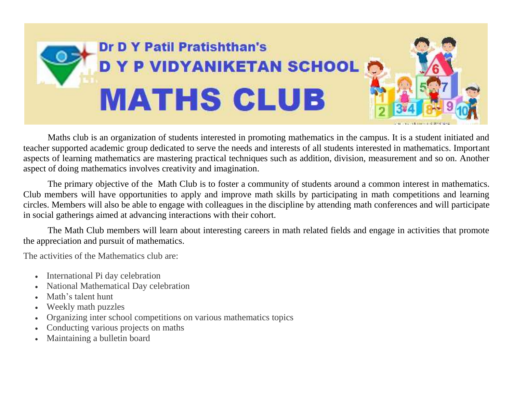

Maths club is an organization of students interested in promoting mathematics in the campus. It is a student initiated and teacher supported academic group dedicated to serve the needs and interests of all students interested in mathematics. Important aspects of learning mathematics are mastering practical techniques such as addition, division, measurement and so on. Another aspect of doing mathematics involves creativity and imagination.

The primary objective of the Math Club is to foster a community of students around a common interest in mathematics. Club members will have opportunities to apply and improve math skills by participating in math competitions and learning circles. Members will also be able to engage with colleagues in the discipline by attending math conferences and will participate in social gatherings aimed at advancing interactions with their cohort.

The Math Club members will learn about interesting careers in math related fields and engage in activities that promote the appreciation and pursuit of mathematics.

The activities of the Mathematics club are:

- International Pi day celebration
- National Mathematical Day celebration
- Math's talent hunt
- Weekly math puzzles
- Organizing inter school competitions on various mathematics topics
- Conducting various projects on maths
- Maintaining a bulletin board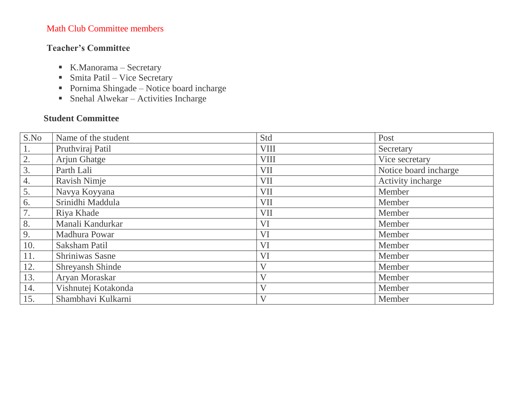## Math Club Committee members

## **Teacher's Committee**

- K.Manorama Secretary
- Smita Patil Vice Secretary
- Pornima Shingade Notice board incharge
- Snehal Alwekar Activities Incharge

## **Student Committee**

| S.No | Name of the student | Std                     | Post                  |
|------|---------------------|-------------------------|-----------------------|
| 1.   | Pruthviraj Patil    | <b>VIII</b>             | Secretary             |
| 2.   | Arjun Ghatge        | <b>VIII</b>             | Vice secretary        |
| 3.   | Parth Lali          | VII                     | Notice board incharge |
| 4.   | Ravish Nimje        | VII                     | Activity incharge     |
| 5.   | Navya Koyyana       | VII                     | Member                |
| 6.   | Srinidhi Maddula    | VII                     | Member                |
| 7.   | Riya Khade          | <b>VII</b>              | Member                |
| 8.   | Manali Kandurkar    | <b>VI</b>               | Member                |
| 9.   | Madhura Powar       | <b>VI</b>               | Member                |
| 10.  | Saksham Patil       | VI                      | Member                |
| 11.  | Shriniwas Sasne     | <b>VI</b>               | Member                |
| 12.  | Shreyansh Shinde    | $\overline{\mathsf{V}}$ | Member                |
| 13.  | Aryan Moraskar      | $\overline{\mathsf{V}}$ | Member                |
| 14.  | Vishnutej Kotakonda | $\overline{\mathsf{V}}$ | Member                |
| 15.  | Shambhavi Kulkarni  | $\overline{\mathsf{V}}$ | Member                |